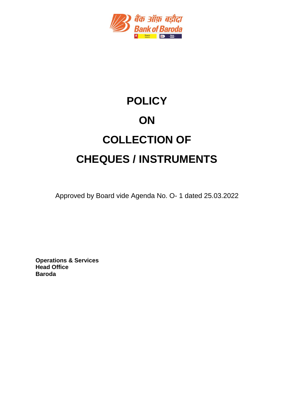

# **POLICY ON COLLECTION OF CHEQUES / INSTRUMENTS**

Approved by Board vide Agenda No. O- 1 dated 25.03.2022

**Operations & Services Head Office Baroda**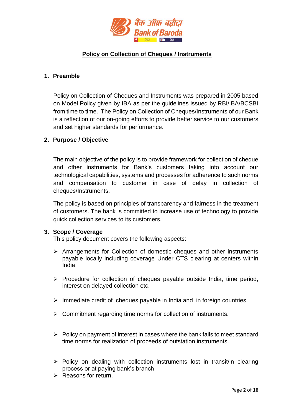

# **Policy on Collection of Cheques / Instruments**

#### **1. Preamble**

Policy on Collection of Cheques and Instruments was prepared in 2005 based on Model Policy given by IBA as per the guidelines issued by RBI/IBA/BCSBI from time to time. The Policy on Collection of Cheques/Instruments of our Bank is a reflection of our on-going efforts to provide better service to our customers and set higher standards for performance.

#### **2. Purpose / Objective**

The main objective of the policy is to provide framework for collection of cheque and other instruments for Bank's customers taking into account our technological capabilities, systems and processes for adherence to such norms and compensation to customer in case of delay in collection of cheques/Instruments.

The policy is based on principles of transparency and fairness in the treatment of customers. The bank is committed to increase use of technology to provide quick collection services to its customers.

#### **3. Scope / Coverage**

This policy document covers the following aspects:

- Arrangements for Collection of domestic cheques and other instruments payable locally including coverage Under CTS clearing at centers within India.
- $\triangleright$  Procedure for collection of cheques payable outside India, time period, interest on delayed collection etc.
- $\triangleright$  Immediate credit of cheques payable in India and in foreign countries
- $\triangleright$  Commitment regarding time norms for collection of instruments.
- $\triangleright$  Policy on payment of interest in cases where the bank fails to meet standard time norms for realization of proceeds of outstation instruments.
- $\triangleright$  Policy on dealing with collection instruments lost in transit/in clearing process or at paying bank's branch
- $\triangleright$  Reasons for return.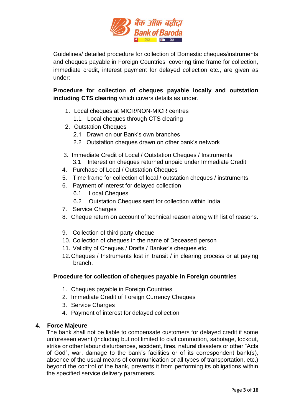

Guidelines/ detailed procedure for collection of Domestic cheques/instruments and cheques payable in Foreign Countries covering time frame for collection, immediate credit, interest payment for delayed collection etc., are given as under:

**Procedure for collection of cheques payable locally and outstation including CTS clearing** which covers details as under.

- 1. Local cheques at MICR/NON-MICR centres
	- 1.1 Local cheques through CTS clearing
- 2. Outstation Cheques
	- 2.1 Drawn on our Bank's own branches
	- 2.2 Outstation cheques drawn on other bank's network
- 3. Immediate Credit of Local / Outstation Cheques / Instruments 3.1Interest on cheques returned unpaid under Immediate Credit
- 4. Purchase of Local / Outstation Cheques
- 5. Time frame for collection of local / outstation cheques / instruments
- 6. Payment of interest for delayed collection
	- 6.1 Local Cheques
	- 6.2 Outstation Cheques sent for collection within India
- 7. Service Charges
- 8. Cheque return on account of technical reason along with list of reasons.
- 9. Collection of third party cheque
- 10. Collection of cheques in the name of Deceased person
- 11. Validity of Cheques / Drafts / Banker's cheques etc,
- 12.Cheques / Instruments lost in transit / in clearing process or at paying branch.

#### **Procedure for collection of cheques payable in Foreign countries**

- 1. Cheques payable in Foreign Countries
- 2. Immediate Credit of Foreign Currency Cheques
- 3. Service Charges
- 4. Payment of interest for delayed collection

#### **4. Force Majeure**

The bank shall not be liable to compensate customers for delayed credit if some unforeseen event (including but not limited to civil commotion, sabotage, lockout, strike or other labour disturbances, accident, fires, natural disasters or other "Acts of God", war, damage to the bank's facilities or of its correspondent bank(s), absence of the usual means of communication or all types of transportation, etc.) beyond the control of the bank, prevents it from performing its obligations within the specified service delivery parameters.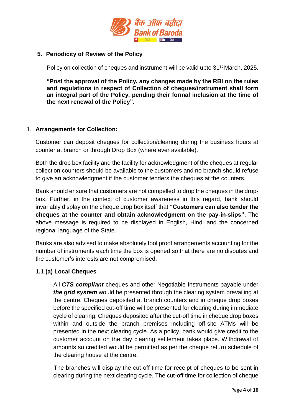

#### **5. Periodicity of Review of the Policy**

Policy on collection of cheques and instrument will be valid upto 31<sup>st</sup> March, 2025.

**"Post the approval of the Policy, any changes made by the RBI on the rules and regulations in respect of Collection of cheques/instrument shall form an integral part of the Policy, pending their formal inclusion at the time of the next renewal of the Policy".**

#### 1. **Arrangements for Collection:**

Customer can deposit cheques for collection/clearing during the business hours at counter at branch or through Drop Box (where ever available).

Both the drop box facility and the facility for acknowledgment of the cheques at regular collection counters should be available to the customers and no branch should refuse to give an acknowledgment if the customer tenders the cheques at the counters.

Bank should ensure that customers are not compelled to drop the cheques in the dropbox. Further, in the context of customer awareness in this regard, bank should invariably display on the cheque drop box itself that **"Customers can also tender the cheques at the counter and obtain acknowledgment on the pay-in-slips".** The above message is required to be displayed in English, Hindi and the concerned regional language of the State.

Banks are also advised to make absolutely fool proof arrangements accounting for the number of instruments each time the box is opened so that there are no disputes and the customer's interests are not compromised.

# **1.1 (a) Local Cheques**

All *CTS compliant* cheques and other Negotiable Instruments payable under *the grid system* would be presented through the clearing system prevailing at the centre. Cheques deposited at branch counters and in cheque drop boxes before the specified cut-off time will be presented for clearing during immediate cycle of clearing. Cheques deposited after the cut-off time in cheque drop boxes within and outside the branch premises including off-site ATMs will be presented in the next clearing cycle. As a policy, bank would give credit to the customer account on the day clearing settlement takes place. Withdrawal of amounts so credited would be permitted as per the cheque return schedule of the clearing house at the centre.

 The branches will display the cut-off time for receipt of cheques to be sent in clearing during the next clearing cycle. The cut-off time for collection of cheque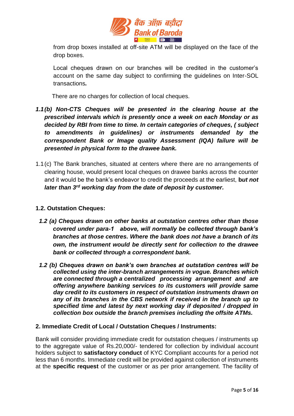

from drop boxes installed at off-site ATM will be displayed on the face of the drop boxes.

Local cheques drawn on our branches will be credited in the customer's account on the same day subject to confirming the guidelines on Inter-SOL transactions*.* 

There are no charges for collection of local cheques.

- *1.1(b) Non-CTS Cheques will be presented in the clearing house at the prescribed intervals which is presently once a week on each Monday or as decided by RBI from time to time. In certain categories of cheques, ( subject to amendments in guidelines) or instruments demanded by the correspondent Bank or Image quality Assessment (IQA) failure will be presented in physical form to the drawee bank.*
- 1.1(c) The Bank branches, situated at centers where there are no arrangements of clearing house, would present local cheques on drawee banks across the counter and it would be the bank's endeavor to credit the proceeds at the earliest, **b***ut not later than 3rd working day from the date of deposit by customer.*

#### **1.2. Outstation Cheques:**

- *1.2 (a) Cheques drawn on other banks at outstation centres other than those covered under para-1 above, will normally be collected through bank's branches at those centres. Where the bank does not have a branch of its own, the instrument would be directly sent for collection to the drawee bank or collected through a correspondent bank.*
- *1.2 (b) Cheques drawn on bank's own branches at outstation centres will be collected using the inter-branch arrangements in vogue. Branches which are connected through a centralized processing arrangement and are offering anywhere banking services to its customers will provide same day credit to its customers in respect of outstation instruments drawn on any of its branches in the CBS network if received in the branch up to specified time and latest by next working day if deposited / dropped in collection box outside the branch premises including the offsite ATMs.*

#### **2. Immediate Credit of Local / Outstation Cheques / Instruments:**

Bank will consider providing immediate credit for outstation cheques / instruments up to the aggregate value of Rs.20,000/- tendered for collection by individual account holders subject to **satisfactory conduct** of KYC Compliant accounts for a period not less than 6 months. Immediate credit will be provided against collection of instruments at the **specific request** of the customer or as per prior arrangement. The facility of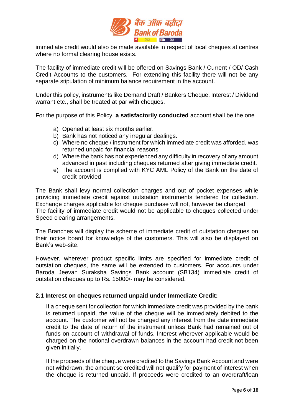

immediate credit would also be made available in respect of local cheques at centres where no formal clearing house exists.

The facility of immediate credit will be offered on Savings Bank / Current / OD/ Cash Credit Accounts to the customers. For extending this facility there will not be any separate stipulation of minimum balance requirement in the account.

Under this policy, instruments like Demand Draft / Bankers Cheque, Interest / Dividend warrant etc., shall be treated at par with cheques.

For the purpose of this Policy, **a satisfactorily conducted** account shall be the one

- a) Opened at least six months earlier.
- b) Bank has not noticed any irregular dealings.
- c) Where no cheque / instrument for which immediate credit was afforded, was returned unpaid for financial reasons
- d) Where the bank has not experienced any difficulty in recovery of any amount advanced in past including cheques returned after giving immediate credit.
- e) The account is complied with KYC AML Policy of the Bank on the date of credit provided

The Bank shall levy normal collection charges and out of pocket expenses while providing immediate credit against outstation instruments tendered for collection. Exchange charges applicable for cheque purchase will not, however be charged. The facility of immediate credit would not be applicable to cheques collected under Speed clearing arrangements.

The Branches will display the scheme of immediate credit of outstation cheques on their notice board for knowledge of the customers. This will also be displayed on Bank's web-site.

However, wherever product specific limits are specified for immediate credit of outstation cheques, the same will be extended to customers. For accounts under Baroda Jeevan Suraksha Savings Bank account (SB134) immediate credit of outstation cheques up to Rs. 15000/- may be considered.

#### **2.1 Interest on cheques returned unpaid under Immediate Credit:**

If a cheque sent for collection for which immediate credit was provided by the bank is returned unpaid, the value of the cheque will be immediately debited to the account. The customer will not be charged any interest from the date immediate credit to the date of return of the instrument unless Bank had remained out of funds on account of withdrawal of funds. Interest wherever applicable would be charged on the notional overdrawn balances in the account had credit not been given initially.

If the proceeds of the cheque were credited to the Savings Bank Account and were not withdrawn, the amount so credited will not qualify for payment of interest when the cheque is returned unpaid. If proceeds were credited to an overdraft/loan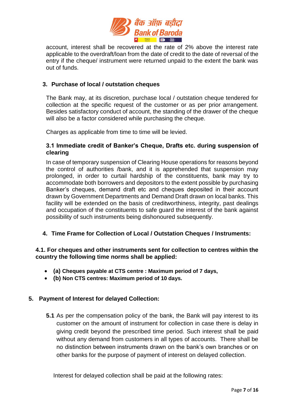

account, interest shall be recovered at the rate of 2% above the interest rate applicable to the overdraft/loan from the date of credit to the date of reversal of the entry if the cheque/ instrument were returned unpaid to the extent the bank was out of funds.

#### **3. Purchase of local / outstation cheques**

The Bank may, at its discretion, purchase local / outstation cheque tendered for collection at the specific request of the customer or as per prior arrangement. Besides satisfactory conduct of account, the standing of the drawer of the cheque will also be a factor considered while purchasing the cheque.

Charges as applicable from time to time will be levied.

#### **3.1 Immediate credit of Banker's Cheque, Drafts etc. during suspension of clearing**

In case of temporary suspension of Clearing House operations for reasons beyond the control of authorities /bank, and it is apprehended that suspension may prolonged, in order to curtail hardship of the constituents, bank may try to accommodate both borrowers and depositors to the extent possible by purchasing Banker's cheques, demand draft etc and cheques deposited in their account drawn by Government Departments and Demand Draft drawn on local banks. This facility will be extended on the basis of creditworthiness, integrity, past dealings and occupation of the constituents to safe guard the interest of the bank against possibility of such instruments being dishonoured subsequently.

# **4. Time Frame for Collection of Local / Outstation Cheques / Instruments:**

#### **4.1. For cheques and other instruments sent for collection to centres within the country the following time norms shall be applied:**

- **(a) Cheques payable at CTS centre : Maximum period of 7 days,**
- **(b) Non CTS centres: Maximum period of 10 days.**

#### **5. Payment of Interest for delayed Collection:**

**5.1** As per the compensation policy of the bank, the Bank will pay interest to its customer on the amount of instrument for collection in case there is delay in giving credit beyond the prescribed time period. Such interest shall be paid without any demand from customers in all types of accounts. There shall be no distinction between instruments drawn on the bank's own branches or on other banks for the purpose of payment of interest on delayed collection.

Interest for delayed collection shall be paid at the following rates: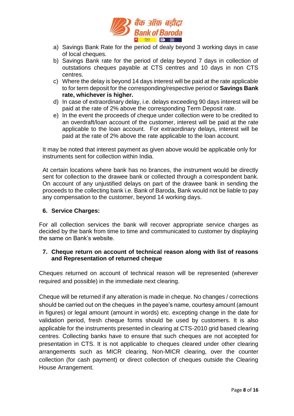

- a) Savings Bank Rate for the period of dealy beyond 3 working days in case of local cheques.
- b) Savings Bank rate for the period of delay beyond 7 days in collection of outstations cheques payable at CTS centres and 10 days in non CTS centres.
- c) Where the delay is beyond 14 days interest will be paid at the rate applicable to for term deposit for the corresponding/respective period or **Savings Bank rate, whichever is higher.**
- d) In case of extraordinary delay, i.e. delays exceeding 90 days interest will be paid at the rate of 2% above the corresponding Term Deposit rate.
- e) In the event the proceeds of cheque under collection were to be credited to an overdraft/loan account of the customer, interest will be paid at the rate applicable to the loan account. For extraordinary delays, interest will be paid at the rate of 2% above the rate applicable to the loan account.

It may be noted that interest payment as given above would be applicable only for instruments sent for collection within India.

At certain locations where bank has no brances, the instrument would be directly sent for collection to the drawee bank or collected through a correspondent bank. On account of any unjustified delays on part of the drawee bank in sending the proceeds to the collecting bank i.e. Bank of Baroda, Bank would not be liable to pay any compensation to the customer, beyond 14 working days.

#### **6. Service Charges:**

For all collection services the bank will recover appropriate service charges as decided by the bank from time to time and communicated to customer by displaying the same on Bank's website.

#### **7. Cheque return on account of technical reason along with list of reasons and Representation of returned cheque**

Cheques returned on account of technical reason will be represented (wherever required and possible) in the immediate next clearing.

Cheque will be returned if any alteration is made in cheque. No changes / corrections should be carried out on the cheques in the payee's name, courtesy amount (amount in figures) or legal amount (amount in words) etc. excepting change in the date for validation period, fresh cheque forms should be used by customers. It is also applicable for the instruments presented in clearing at CTS-2010 grid based clearing centres. Collecting banks have to ensure that such cheques are not accepted for presentation in CTS. It is not applicable to cheques cleared under other clearing arrangements such as MICR clearing, Non-MICR clearing, over the counter collection (for cash payment) or direct collection of cheques outside the Clearing House Arrangement.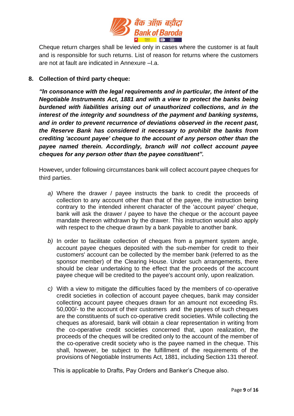

Cheque return charges shall be levied only in cases where the customer is at fault and is responsible for such returns. List of reason for returns where the customers are not at fault are indicated in Annexure –I.a.

#### **8. Collection of third party cheque:**

*"In consonance with the legal requirements and in particular, the intent of the Negotiable Instruments Act, 1881 and with a view to protect the banks being burdened with liabilities arising out of unauthorized collections, and in the interest of the integrity and soundness of the payment and banking systems, and in order to prevent recurrence of deviations observed in the recent past, the Reserve Bank has considered it necessary to prohibit the banks from crediting 'account payee' cheque to the account of any person other than the payee named therein. Accordingly, branch will not collect account payee cheques for any person other than the payee constituent".*

However*,* under following circumstances bank will collect account payee cheques for third parties.

- *a)* Where the drawer / payee instructs the bank to credit the proceeds of collection to any account other than that of the payee, the instruction being contrary to the intended inherent character of the 'account payee' cheque, bank will ask the drawer / payee to have the cheque or the account payee mandate thereon withdrawn by the drawer. This instruction would also apply with respect to the cheque drawn by a bank payable to another bank.
- *b)* In order to facilitate collection of cheques from a payment system angle, account payee cheques deposited with the sub-member for credit to their customers' account can be collected by the member bank (referred to as the sponsor member) of the Clearing House. Under such arrangements, there should be clear undertaking to the effect that the proceeds of the account payee cheque will be credited to the payee's account only, upon realization.
- *c)* With a view to mitigate the difficulties faced by the members of co-operative credit societies in collection of account payee cheques, bank may consider collecting account payee cheques drawn for an amount not exceeding Rs. 50,000/- to the account of their customers and the payees of such cheques are the constituents of such co-operative credit societies. While collecting the cheques as aforesaid, bank will obtain a clear representation in writing from the co-operative credit societies concerned that, upon realization, the proceeds of the cheques will be credited only to the account of the member of the co-operative credit society who is the payee named in the cheque. This shall, however, be subject to the fulfillment of the requirements of the provisions of Negotiable Instruments Act, 1881, including Section 131 thereof.

This is applicable to Drafts, Pay Orders and Banker's Cheque also.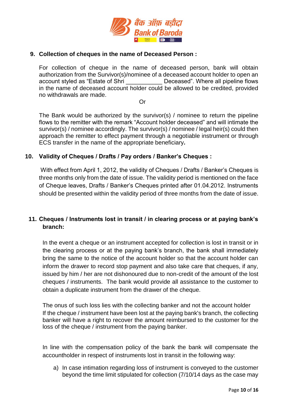

#### **9. Collection of cheques in the name of Deceased Person :**

For collection of cheque in the name of deceased person, bank will obtain authorization from the Survivor(s)/nominee of a deceased account holder to open an account styled as "Estate of Shri \_\_\_\_\_\_\_\_\_\_\_ Deceased". Where all pipeline flows in the name of deceased account holder could be allowed to be credited, provided no withdrawals are made.

**Oriented States (States States)** 

The Bank would be authorized by the survivor(s) / nominee to return the pipeline flows to the remitter with the remark "Account holder deceased" and will intimate the survivor(s) / nominee accordingly. The survivor(s) / nominee / legal heir(s) could then approach the remitter to effect payment through a negotiable instrument or through ECS transfer in the name of the appropriate beneficiary*.*

#### **10. Validity of Cheques / Drafts / Pay orders / Banker's Cheques :**

With effect from April 1, 2012, the validity of Cheques / Drafts / Banker's Cheques is three months only from the date of issue. The validity period is mentioned on the face of Cheque leaves, Drafts / Banker's Cheques printed after 01.04.2012. Instruments should be presented within the validity period of three months from the date of issue.

# **11. Cheques / Instruments lost in transit / in clearing process or at paying bank's branch:**

In the event a cheque or an instrument accepted for collection is lost in transit or in the clearing process or at the paying bank's branch, the bank shall immediately bring the same to the notice of the account holder so that the account holder can inform the drawer to record stop payment and also take care that cheques, if any, issued by him / her are not dishonoured due to non-credit of the amount of the lost cheques / instruments. The bank would provide all assistance to the customer to obtain a duplicate instrument from the drawer of the cheque.

The onus of such loss lies with the collecting banker and not the account holder If the cheque / instrument have been lost at the paying bank's branch, the collecting banker will have a right to recover the amount reimbursed to the customer for the loss of the cheque / instrument from the paying banker.

In line with the compensation policy of the bank the bank will compensate the accountholder in respect of instruments lost in transit in the following way:

a) In case intimation regarding loss of instrument is conveyed to the customer beyond the time limit stipulated for collection (7/10/14 days as the case may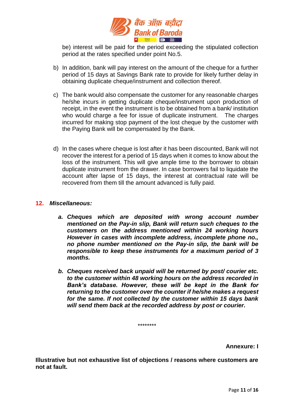

be) interest will be paid for the period exceeding the stipulated collection period at the rates specified under point No.5.

- b) In addition, bank will pay interest on the amount of the cheque for a further period of 15 days at Savings Bank rate to provide for likely further delay in obtaining duplicate cheque/instrument and collection thereof.
- c) The bank would also compensate the customer for any reasonable charges he/she incurs in getting duplicate cheque/instrument upon production of receipt, in the event the instrument is to be obtained from a bank/ institution who would charge a fee for issue of duplicate instrument. The charges incurred for making stop payment of the lost cheque by the customer with the Paying Bank will be compensated by the Bank.
- d) In the cases where cheque is lost after it has been discounted, Bank will not recover the interest for a period of 15 days when it comes to know about the loss of the instrument. This will give ample time to the borrower to obtain duplicate instrument from the drawer. In case borrowers fail to liquidate the account after lapse of 15 days, the interest at contractual rate will be recovered from them till the amount advanced is fully paid.

#### **12.** *Miscellaneous:*

- *a. Cheques which are deposited with wrong account number mentioned on the Pay-in slip, Bank will return such cheques to the customers on the address mentioned within 24 working hours However in cases with incomplete address, incomplete phone no., no phone number mentioned on the Pay-in slip, the bank will be responsible to keep these instruments for a maximum period of 3 months.*
- *b. Cheques received back unpaid will be returned by post/ courier etc. to the customer within 48 working hours on the address recorded in Bank's database. However, these will be kept in the Bank for returning to the customer over the counter if he/she makes a request for the same. If not collected by the customer within 15 days bank will send them back at the recorded address by post or courier.*

\*\*\*\*\*\*\*\*

**Annexure: I**

**Illustrative but not exhaustive list of objections / reasons where customers are not at fault.**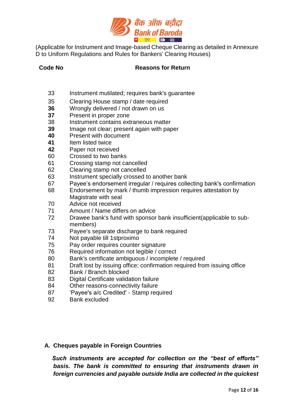

(Applicable for Instrument and Image-based Cheque Clearing as detailed in Annexure D to Uniform Regulations and Rules for Bankers' Clearing Houses)

#### **Code No Reasons for Return**

- Instrument mutilated; requires bank's guarantee
- Clearing House stamp / date required
- Wrongly delivered / not drawn on us
- Present in proper zone
- Instrument contains extraneous matter
- Image not clear; present again with paper
- Present with document
- Item listed twice
- Paper not received
- Crossed to two banks
- Crossing stamp not cancelled
- Clearing stamp not cancelled
- Instrument specially crossed to another bank
- Payee's endorsement irregular / requires collecting bank's confirmation
- Endorsement by mark / thumb impression requires attestation by Magistrate with seal
- Advice not received
- Amount / Name differs on advice
- Drawee bank's fund with sponsor bank insufficient(applicable to submembers)
- Payee's separate discharge to bank required
- Not payable till 1stproximo
- Pay order requires counter signature
- Required information not legible / correct
- Bank's certificate ambiguous / incomplete / required
- Draft lost by issuing office; confirmation required from issuing office
- Bank / Branch blocked
- Digital Certificate validation failure
- Other reasons-connectivity failure
- 'Payee's a/c Credited' Stamp required
- Bank excluded

# **A. Cheques payable in Foreign Countries**

 *Such instruments are accepted for collection on the "best of efforts" basis. The bank is committed to ensuring that instruments drawn in foreign currencies and payable outside India are collected in the quickest*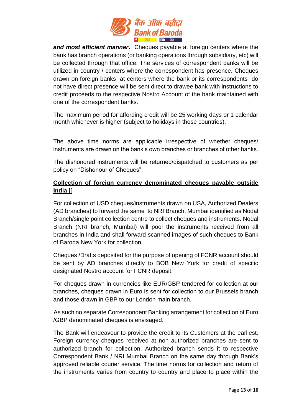

*and most efficient manner***.** Cheques payable at foreign centers where the bank has branch operations (or banking operations through subsidiary, etc) will be collected through that office. The services of correspondent banks will be utilized in country / centers where the correspondent has presence. Cheques drawn on foreign banks at centers where the bank or its correspondents do not have direct presence will be sent direct to drawee bank with instructions to credit proceeds to the respective Nostro Account of the bank maintained with one of the correspondent banks.

The maximum period for affording credit will be 25 working days or 1 calendar month whichever is higher (subject to holidays in those countries).

The above time norms are applicable irrespective of whether cheques/ instruments are drawn on the bank's own branches or branches of other banks.

The dishonored instruments will be returned/dispatched to customers as per policy on "Dishonour of Cheques".

# **Collection of foreign currency denominated cheques payable outside India** [[

For collection of USD cheques/instruments drawn on USA, Authorized Dealers (AD branches) to forward the same to NRI Branch, Mumbai identified as Nodal Branch/single point collection centre to collect cheques and instruments. Nodal Branch (NRI branch, Mumbai) will pool the instruments received from all branches in India and shall forward scanned images of such cheques to Bank of Baroda New York for collection.

Cheques /Drafts deposited for the purpose of opening of FCNR account should be sent by AD branches directly to BOB New York for credit of specific designated Nostro account for FCNR deposit.

For cheques drawn in currencies like EUR/GBP tendered for collection at our branches, cheques drawn in Euro is sent for collection to our Brussels branch and those drawn in GBP to our London main branch.

 As such no separate Correspondent Banking arrangement for collection of Euro /GBP denominated cheques is envisaged.

The Bank will endeavour to provide the credit to its Customers at the earliest. Foreign currency cheques received at non authorized branches are sent to authorized branch for collection. Authorized branch sends it to respective Correspondent Bank / NRI Mumbai Branch on the same day through Bank's approved reliable courier service. The time norms for collection and return of the instruments varies from country to country and place to place within the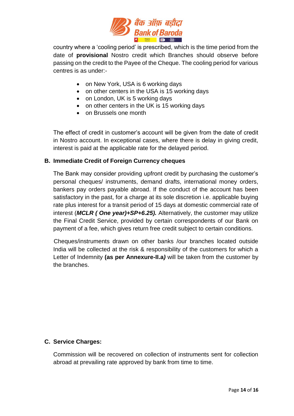

country where a 'cooling period' is prescribed, which is the time period from the date of **provisional** Nostro credit which Branches should observe before passing on the credit to the Payee of the Cheque. The cooling period for various centres is as under:-

- on New York, USA is 6 working days
- on other centers in the USA is 15 working days
- on London, UK is 5 working days
- on other centers in the UK is 15 working days
- on Brussels one month

The effect of credit in customer's account will be given from the date of credit in Nostro account. In exceptional cases, where there is delay in giving credit, interest is paid at the applicable rate for the delayed period.

#### **B. Immediate Credit of Foreign Currency cheques**

The Bank may consider providing upfront credit by purchasing the customer's personal cheques/ instruments, demand drafts, international money orders, bankers pay orders payable abroad. If the conduct of the account has been satisfactory in the past, for a charge at its sole discretion i.e. applicable buying rate plus interest for a transit period of 15 days at domestic commercial rate of interest (*MCLR ( One year)+SP+6.25).* Alternatively, the customer may utilize the Final Credit Service, provided by certain correspondents of our Bank on payment of a fee, which gives return free credit subject to certain conditions.

 Cheques/instruments drawn on other banks /our branches located outside India will be collected at the risk & responsibility of the customers for which a Letter of Indemnity **(as per Annexure-II.a***)* will be taken from the customer by the branches.

#### **C. Service Charges:**

Commission will be recovered on collection of instruments sent for collection abroad at prevailing rate approved by bank from time to time.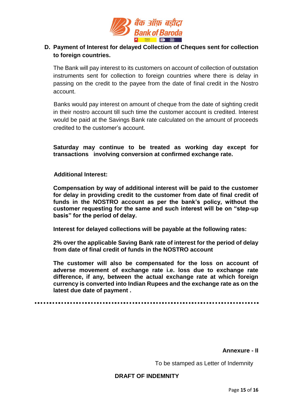

# **D. Payment of Interest for delayed Collection of Cheques sent for collection to foreign countries.**

The Bank will pay interest to its customers on account of collection of outstation instruments sent for collection to foreign countries where there is delay in passing on the credit to the payee from the date of final credit in the Nostro account.

 Banks would pay interest on amount of cheque from the date of sighting credit in their nostro account till such time the customer account is credited. Interest would be paid at the Savings Bank rate calculated on the amount of proceeds credited to the customer's account.

**Saturday may continue to be treated as working day except for transactions involving conversion at confirmed exchange rate.**

 **Additional Interest:**

**Compensation by way of additional interest will be paid to the customer for delay in providing credit to the customer from date of final credit of funds in the NOSTRO account as per the bank's policy, without the customer requesting for the same and such interest will be on "step-up basis" for the period of delay.**

**Interest for delayed collections will be payable at the following rates:**

**2% over the applicable Saving Bank rate of interest for the period of delay from date of final credit of funds in the NOSTRO account** 

**The customer will also be compensated for the loss on account of adverse movement of exchange rate i.e. loss due to exchange rate difference, if any, between the actual exchange rate at which foreign currency is converted into Indian Rupees and the exchange rate as on the latest due date of payment .**

**Annexure - II**

To be stamped as Letter of Indemnity

#### **DRAFT OF INDEMNITY**

Page **15** of **16**